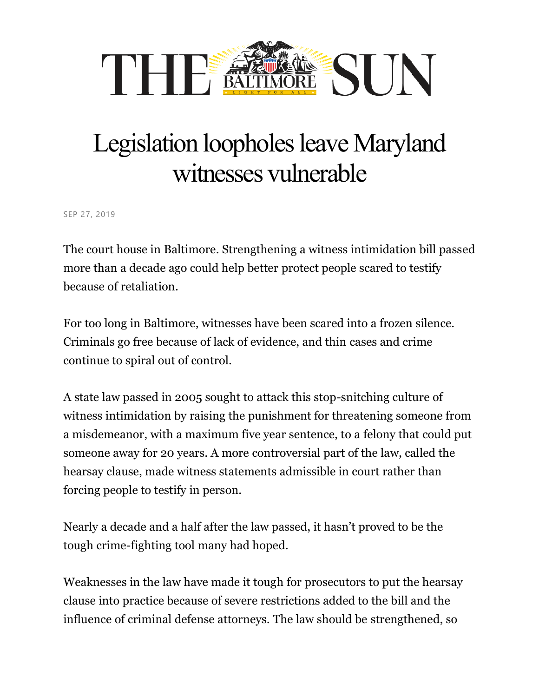

## Legislation loopholes leave Maryland witnesses vulnerable

SEP 27, 2019

The court house in Baltimore. Strengthening a witness intimidation bill passed more than a decade ago could help better protect people scared to testify because of retaliation.

For too long in Baltimore, witnesses have been scared into a frozen silence. Criminals go free because of lack of evidence, and thin cases and crime continue to spiral out of control.

A state law passed in 2005 sought to attack this stop-snitching culture of witness intimidation by raising the punishment for threatening someone from a misdemeanor, with a maximum five year sentence, to a felony that could put someone away for 20 years. A more controversial part of the law, called the hearsay clause, made witness statements admissible in court rather than forcing people to testify in person.

Nearly a decade and a half after the law passed, it hasn't proved to be the tough crime-fighting tool many had hoped.

Weaknesses in the law have made it tough for prosecutors to put the hearsay clause into practice because of severe restrictions added to the bill and the influence of criminal defense attorneys. The law should be strengthened, so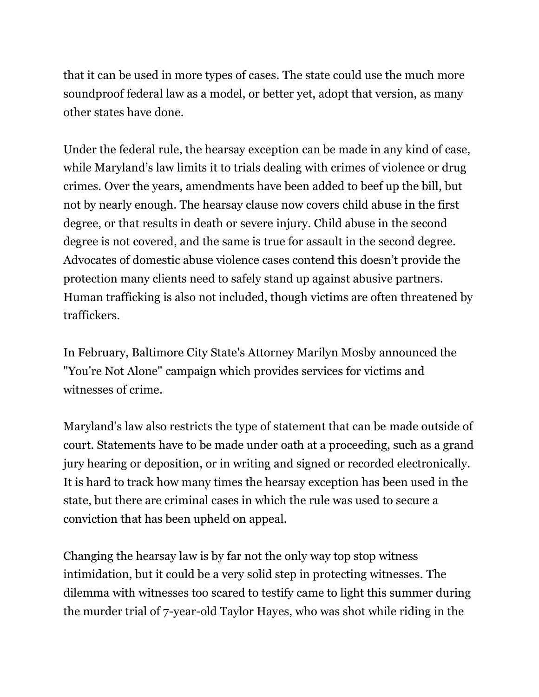that it can be used in more types of cases. The state could use the much more soundproof federal law as a model, or better yet, adopt that version, as many other states have done.

Under the federal rule, the hearsay exception can be made in any kind of case, while Maryland's law limits it to trials dealing with crimes of violence or drug crimes. Over the years, amendments have been added to beef up the bill, but not by nearly enough. The hearsay clause now covers child abuse in the first degree, or that results in death or severe injury. Child abuse in the second degree is not covered, and the same is true for assault in the second degree. Advocates of domestic abuse violence cases contend this doesn't provide the protection many clients need to safely stand up against abusive partners. Human trafficking is also not included, though victims are often threatened by traffickers.

In February, Baltimore City State's Attorney Marilyn Mosby announced the "You're Not Alone" campaign which provides services for victims and witnesses of crime.

Maryland's law also restricts the type of statement that can be made outside of court. Statements have to be made under oath at a proceeding, such as a grand jury hearing or deposition, or in writing and signed or recorded electronically. It is hard to track how many times the hearsay exception has been used in the state, but there are criminal cases in which the rule was used to secure a conviction that has been upheld on appeal.

Changing the hearsay law is by far not the only way top stop witness intimidation, but it could be a very solid step in protecting witnesses. The dilemma with witnesses too scared to testify came to light this summer during the murder trial of 7-year-old Taylor Hayes, who was shot while riding in the